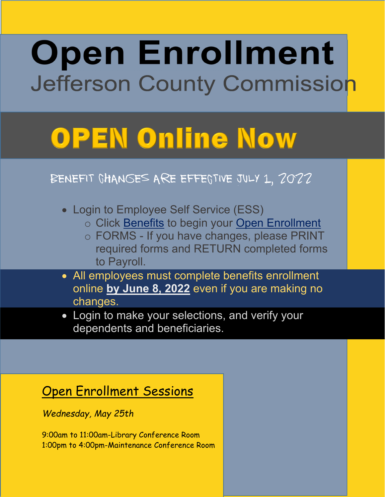## **Open Enrollment** Jefferson County Commission

# **OPEN Online Now**

## Benefit Changes are effective July 1, 2022

- Login to Employee Self Service (ESS)
	- o Click Benefits to begin your Open Enrollment
	- o FORMS If you have changes, please PRINT required forms and RETURN completed forms to Payroll.
- All employees must complete benefits enrollment online **by June 8, 2022** even if you are making no changes.
- Login to make your selections, and verify your dependents and beneficiaries.

## Open Enrollment Sessions

*Wednesday, May 25th* 

9:00am to 11:00am-Library Conference Room 1:00pm to 4:00pm-Maintenance Conference Room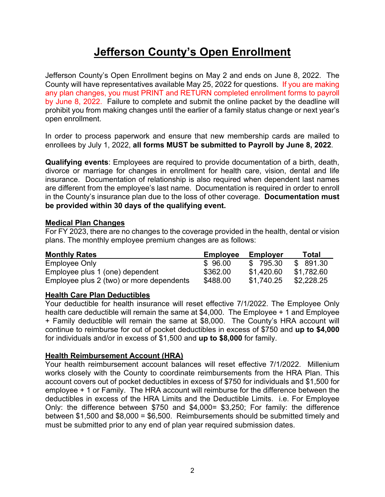### **Jefferson County's Open Enrollment**

Jefferson County's Open Enrollment begins on May 2 and ends on June 8, 2022. The County will have representatives available May 25, 2022 for questions. If you are making any plan changes, you must PRINT and RETURN completed enrollment forms to payroll by June 8, 2022. Failure to complete and submit the online packet by the deadline will prohibit you from making changes until the earlier of a family status change or next year's open enrollment.

In order to process paperwork and ensure that new membership cards are mailed to enrollees by July 1, 2022, **all forms MUST be submitted to Payroll by June 8, 2022**.

**Qualifying events**: Employees are required to provide documentation of a birth, death, divorce or marriage for changes in enrollment for health care, vision, dental and life insurance. Documentation of relationship is also required when dependent last names are different from the employee's last name. Documentation is required in order to enroll in the County's insurance plan due to the loss of other coverage. **Documentation must be provided within 30 days of the qualifying event.** 

#### **Medical Plan Changes**

For FY 2023, there are no changes to the coverage provided in the health, dental or vision plans. The monthly employee premium changes are as follows:

| <b>Monthly Rates</b>                     | <b>Employee</b> | <b>Employer</b> | <b>Total</b> |
|------------------------------------------|-----------------|-----------------|--------------|
| Employee Only                            | \$96.00         | \$795.30        | \$ 891.30    |
| Employee plus 1 (one) dependent          | \$362.00        | \$1.420.60      | \$1.782.60   |
| Employee plus 2 (two) or more dependents | \$488.00        | \$1,740.25      | \$2,228.25   |

#### **Health Care Plan Deductibles**

Your deductible for health insurance will reset effective 7/1/2022. The Employee Only health care deductible will remain the same at \$4,000. The Employee + 1 and Employee + Family deductible will remain the same at \$8,000. The County's HRA account will continue to reimburse for out of pocket deductibles in excess of \$750 and **up to \$4,000** for individuals and/or in excess of \$1,500 and **up to \$8,000** for family.

#### **Health Reimbursement Account (HRA)**

Your health reimbursement account balances will reset effective 7/1/2022. Millenium works closely with the County to coordinate reimbursements from the HRA Plan. This account covers out of pocket deductibles in excess of \$750 for individuals and \$1,500 for employee + 1 or Family. The HRA account will reimburse for the difference between the deductibles in excess of the HRA Limits and the Deductible Limits. i.e. For Employee Only: the difference between \$750 and \$4,000= \$3,250; For family: the difference between \$1,500 and \$8,000 = \$6,500. Reimbursements should be submitted timely and must be submitted prior to any end of plan year required submission dates.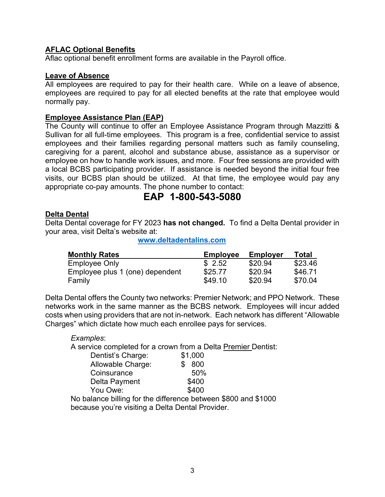#### **AFLAC Optional Benefits**

Aflac optional benefit enrollment forms are available in the Payroll office.

#### **Leave of Absence**

All employees are required to pay for their health care. While on a leave of absence, employees are required to pay for all elected benefits at the rate that employee would normally pay.

#### **Employee Assistance Plan (EAP)**

The County will continue to offer an Employee Assistance Program through Mazzitti & Sullivan for all full-time employees. This program is a free, confidential service to assist employees and their families regarding personal matters such as family counseling, caregiving for a parent, alcohol and substance abuse, assistance as a supervisor or employee on how to handle work issues, and more. Four free sessions are provided with a local BCBS participating provider. If assistance is needed beyond the initial four free visits, our BCBS plan should be utilized. At that time, the employee would pay any appropriate co-pay amounts. The phone number to contact:

### **EAP 1-800-543-5080**

#### **Delta Dental**

Delta Dental coverage for FY 2023 **has not changed.** To find a Delta Dental provider in your area, visit Delta's website at:

**www.deltadentalins.com**

| <b>Monthly Rates</b>            | <b>Employee</b> | <b>Employer</b> | Total   |
|---------------------------------|-----------------|-----------------|---------|
| Employee Only                   | \$2.52          | \$20.94         | \$23.46 |
| Employee plus 1 (one) dependent | \$25.77         | \$20.94         | \$46.71 |
| Family                          | \$49.10         | \$20.94         | \$70.04 |

Delta Dental offers the County two networks: Premier Network; and PPO Network. These networks work in the same manner as the BCBS network. Employees will incur added costs when using providers that are not in-network. Each network has different "Allowable Charges" which dictate how much each enrollee pays for services.

#### *Examples*:

A service completed for a crown from a Delta Premier Dentist:

| Dentist's Charge: | \$1,000    |
|-------------------|------------|
| Allowable Charge: | 800<br>\$. |
| Coinsurance       | 50%        |
| Delta Payment     | \$400      |
| You Owe:          | \$400      |
|                   |            |

No balance billing for the difference between \$800 and \$1000 because you're visiting a Delta Dental Provider.